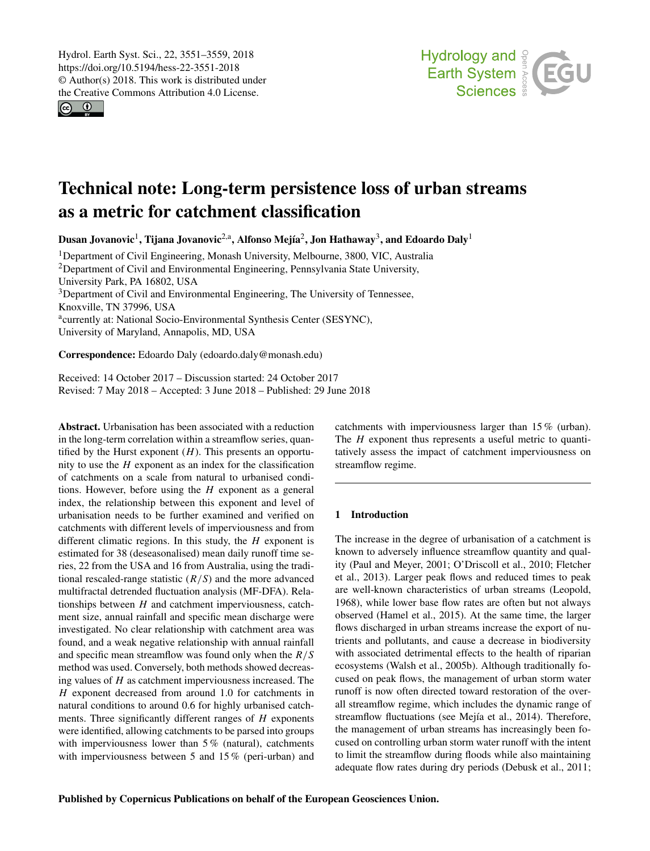<span id="page-0-1"></span> $\circledcirc$ 



# Technical note: Long-term persistence loss of urban streams as a metric for catchment classification

Dusan Jovanovic<sup>[1](#page-0-0)</sup>, Tijana Jovanovic<sup>[2,a](#page-0-0)</sup>, Alfonso Mejía<sup>[2](#page-0-0)</sup>, Jon Hathaway<sup>[3](#page-0-0)</sup>, and Edoardo Daly<sup>1</sup>

<sup>1</sup>Department of Civil Engineering, Monash University, Melbourne, 3800, VIC, Australia <sup>2</sup>Department of Civil and Environmental Engineering, Pennsylvania State University, University Park, PA 16802, USA <sup>3</sup>Department of Civil and Environmental Engineering, The University of Tennessee, Knoxville, TN 37996, USA acurrently at: National Socio-Environmental Synthesis Center (SESYNC), University of Maryland, Annapolis, MD, USA

Correspondence: Edoardo Daly (edoardo.daly@monash.edu)

Received: 14 October 2017 – Discussion started: 24 October 2017 Revised: 7 May 2018 – Accepted: 3 June 2018 – Published: 29 June 2018

<span id="page-0-0"></span>Abstract. Urbanisation has been associated with a reduction in the long-term correlation within a streamflow series, quantified by the Hurst exponent  $(H)$ . This presents an opportunity to use the  $H$  exponent as an index for the classification of catchments on a scale from natural to urbanised conditions. However, before using the  $H$  exponent as a general index, the relationship between this exponent and level of urbanisation needs to be further examined and verified on catchments with different levels of imperviousness and from different climatic regions. In this study, the  $H$  exponent is estimated for 38 (deseasonalised) mean daily runoff time series, 22 from the USA and 16 from Australia, using the traditional rescaled-range statistic  $(R/S)$  and the more advanced multifractal detrended fluctuation analysis (MF-DFA). Relationships between  $H$  and catchment imperviousness, catchment size, annual rainfall and specific mean discharge were investigated. No clear relationship with catchment area was found, and a weak negative relationship with annual rainfall and specific mean streamflow was found only when the  $R/S$ method was used. Conversely, both methods showed decreasing values of  $H$  as catchment imperviousness increased. The H exponent decreased from around 1.0 for catchments in natural conditions to around 0.6 for highly urbanised catchments. Three significantly different ranges of  $H$  exponents were identified, allowing catchments to be parsed into groups with imperviousness lower than 5% (natural), catchments with imperviousness between 5 and 15 % (peri-urban) and

catchments with imperviousness larger than 15 % (urban). The  $H$  exponent thus represents a useful metric to quantitatively assess the impact of catchment imperviousness on streamflow regime.

# 1 Introduction

The increase in the degree of urbanisation of a catchment is known to adversely influence streamflow quantity and quality (Paul and Meyer, 2001; O'Driscoll et al., 2010; Fletcher et al., 2013). Larger peak flows and reduced times to peak are well-known characteristics of urban streams (Leopold, 1968), while lower base flow rates are often but not always observed (Hamel et al., 2015). At the same time, the larger flows discharged in urban streams increase the export of nutrients and pollutants, and cause a decrease in biodiversity with associated detrimental effects to the health of riparian ecosystems (Walsh et al., 2005b). Although traditionally focused on peak flows, the management of urban storm water runoff is now often directed toward restoration of the overall streamflow regime, which includes the dynamic range of streamflow fluctuations (see Mejía et al., 2014). Therefore, the management of urban streams has increasingly been focused on controlling urban storm water runoff with the intent to limit the streamflow during floods while also maintaining adequate flow rates during dry periods (Debusk et al., 2011;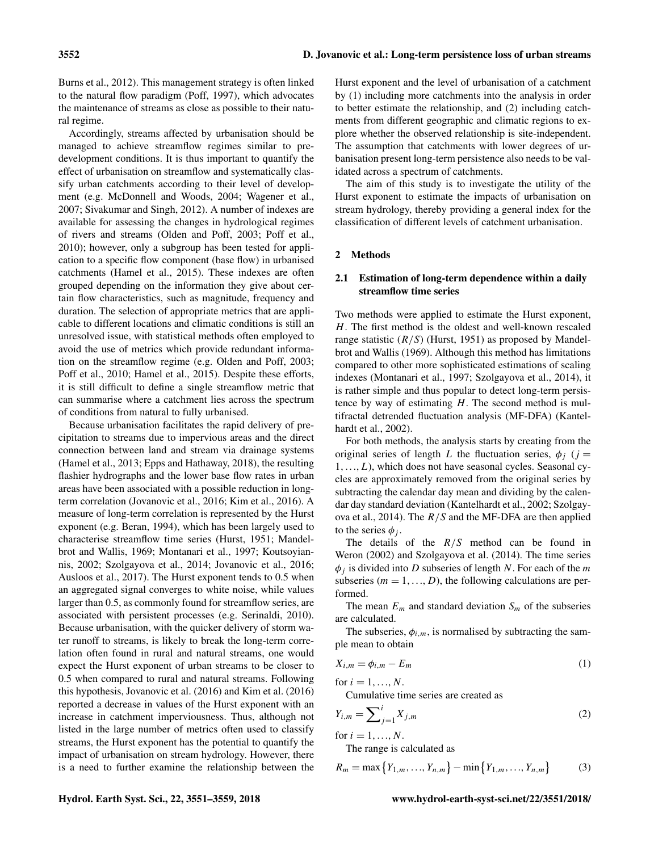Burns et al., 2012). This management strategy is often linked to the natural flow paradigm (Poff, 1997), which advocates the maintenance of streams as close as possible to their natural regime.

Accordingly, streams affected by urbanisation should be managed to achieve streamflow regimes similar to predevelopment conditions. It is thus important to quantify the effect of urbanisation on streamflow and systematically classify urban catchments according to their level of development (e.g. McDonnell and Woods, 2004; Wagener et al., 2007; Sivakumar and Singh, 2012). A number of indexes are available for assessing the changes in hydrological regimes of rivers and streams (Olden and Poff, 2003; Poff et al., 2010); however, only a subgroup has been tested for application to a specific flow component (base flow) in urbanised catchments (Hamel et al., 2015). These indexes are often grouped depending on the information they give about certain flow characteristics, such as magnitude, frequency and duration. The selection of appropriate metrics that are applicable to different locations and climatic conditions is still an unresolved issue, with statistical methods often employed to avoid the use of metrics which provide redundant information on the streamflow regime (e.g. Olden and Poff, 2003; Poff et al., 2010; Hamel et al., 2015). Despite these efforts, it is still difficult to define a single streamflow metric that can summarise where a catchment lies across the spectrum of conditions from natural to fully urbanised.

Because urbanisation facilitates the rapid delivery of precipitation to streams due to impervious areas and the direct connection between land and stream via drainage systems (Hamel et al., 2013; Epps and Hathaway, 2018), the resulting flashier hydrographs and the lower base flow rates in urban areas have been associated with a possible reduction in longterm correlation (Jovanovic et al., 2016; Kim et al., 2016). A measure of long-term correlation is represented by the Hurst exponent (e.g. Beran, 1994), which has been largely used to characterise streamflow time series (Hurst, 1951; Mandelbrot and Wallis, 1969; Montanari et al., 1997; Koutsoyiannis, 2002; Szolgayova et al., 2014; Jovanovic et al., 2016; Ausloos et al., 2017). The Hurst exponent tends to 0.5 when an aggregated signal converges to white noise, while values larger than 0.5, as commonly found for streamflow series, are associated with persistent processes (e.g. Serinaldi, 2010). Because urbanisation, with the quicker delivery of storm water runoff to streams, is likely to break the long-term correlation often found in rural and natural streams, one would expect the Hurst exponent of urban streams to be closer to 0.5 when compared to rural and natural streams. Following this hypothesis, Jovanovic et al. (2016) and Kim et al. (2016) reported a decrease in values of the Hurst exponent with an increase in catchment imperviousness. Thus, although not listed in the large number of metrics often used to classify streams, the Hurst exponent has the potential to quantify the impact of urbanisation on stream hydrology. However, there is a need to further examine the relationship between the Hurst exponent and the level of urbanisation of a catchment by (1) including more catchments into the analysis in order to better estimate the relationship, and (2) including catchments from different geographic and climatic regions to explore whether the observed relationship is site-independent. The assumption that catchments with lower degrees of urbanisation present long-term persistence also needs to be validated across a spectrum of catchments.

The aim of this study is to investigate the utility of the Hurst exponent to estimate the impacts of urbanisation on stream hydrology, thereby providing a general index for the classification of different levels of catchment urbanisation.

# 2 Methods

# 2.1 Estimation of long-term dependence within a daily streamflow time series

Two methods were applied to estimate the Hurst exponent, H. The first method is the oldest and well-known rescaled range statistic  $(R/S)$  (Hurst, 1951) as proposed by Mandelbrot and Wallis (1969). Although this method has limitations compared to other more sophisticated estimations of scaling indexes (Montanari et al., 1997; Szolgayova et al., 2014), it is rather simple and thus popular to detect long-term persistence by way of estimating  $H$ . The second method is multifractal detrended fluctuation analysis (MF-DFA) (Kantelhardt et al., 2002).

For both methods, the analysis starts by creating from the original series of length L the fluctuation series,  $\phi_i$  (j =  $1, \ldots, L$ , which does not have seasonal cycles. Seasonal cycles are approximately removed from the original series by subtracting the calendar day mean and dividing by the calendar day standard deviation (Kantelhardt et al., 2002; Szolgayova et al., 2014). The  $R/S$  and the MF-DFA are then applied to the series  $\phi_i$ .

The details of the  $R/S$  method can be found in Weron (2002) and Szolgayova et al. (2014). The time series  $\phi_j$  is divided into D subseries of length N. For each of the m subseries ( $m = 1, \ldots, D$ ), the following calculations are performed.

The mean  $E_m$  and standard deviation  $S_m$  of the subseries are calculated.

The subseries,  $\phi_{i,m}$ , is normalised by subtracting the sample mean to obtain

$$
X_{i,m} = \phi_{i,m} - E_m \tag{1}
$$

for  $i = 1, ..., N$ .

Cumulative time series are created as

$$
Y_{i,m} = \sum_{j=1}^{i} X_{j,m}
$$
 (2)

for  $i = 1, ..., N$ . The range is calculated as

$$
R_m = \max\left\{Y_{1,m}, \dots, Y_{n,m}\right\} - \min\left\{Y_{1,m}, \dots, Y_{n,m}\right\} \tag{3}
$$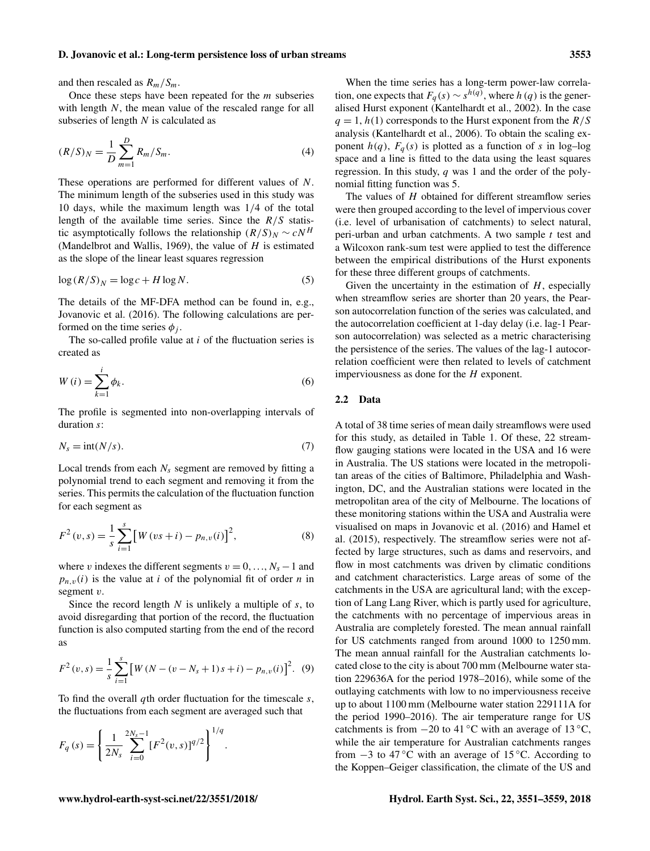#### D. Jovanovic et al.: Long-term persistence loss of urban streams 3553

and then rescaled as  $R_m/S_m$ .

Once these steps have been repeated for the  $m$  subseries with length N, the mean value of the rescaled range for all subseries of length  $N$  is calculated as

$$
(R/S)_N = \frac{1}{D} \sum_{m=1}^{D} R_m / S_m.
$$
 (4)

These operations are performed for different values of N. The minimum length of the subseries used in this study was 10 days, while the maximum length was 1/4 of the total length of the available time series. Since the  $R/S$  statistic asymptotically follows the relationship  $(R/S)<sub>N</sub> \sim cN<sup>H</sup>$ (Mandelbrot and Wallis, 1969), the value of  $H$  is estimated as the slope of the linear least squares regression

$$
\log (R/S)_N = \log c + H \log N. \tag{5}
$$

The details of the MF-DFA method can be found in, e.g., Jovanovic et al. (2016). The following calculations are performed on the time series  $\phi_i$ .

The so-called profile value at  $i$  of the fluctuation series is created as

$$
W(i) = \sum_{k=1}^{i} \phi_k.
$$
 (6)

The profile is segmented into non-overlapping intervals of duration s:

$$
N_s = \text{int}(N/s). \tag{7}
$$

Local trends from each  $N_s$  segment are removed by fitting a polynomial trend to each segment and removing it from the series. This permits the calculation of the fluctuation function for each segment as

$$
F^{2}(v,s) = \frac{1}{s} \sum_{i=1}^{s} \left[ W(v s + i) - p_{n,v}(i) \right]^{2},
$$
\n(8)

where v indexes the different segments  $v = 0, ..., N_s - 1$  and  $p_{n,v}(i)$  is the value at i of the polynomial fit of order n in segment v.

Since the record length  $N$  is unlikely a multiple of  $s$ , to avoid disregarding that portion of the record, the fluctuation function is also computed starting from the end of the record as

$$
F^{2}(v,s) = \frac{1}{s} \sum_{i=1}^{s} \left[ W(N - (v - N_{s} + 1) s + i) - p_{n,v}(i) \right]^{2}.
$$
 (9)

To find the overall qth order fluctuation for the timescale  $s$ , the fluctuations from each segment are averaged such that

$$
F_q(s) = \left\{ \frac{1}{2N_s} \sum_{i=0}^{2N_s - 1} [F^2(v, s)]^{q/2} \right\}^{1/q}.
$$

When the time series has a long-term power-law correlation, one expects that  $F_q(s) \sim s^{h(q)}$ , where  $h(q)$  is the generalised Hurst exponent (Kantelhardt et al., 2002). In the case  $q = 1, h(1)$  corresponds to the Hurst exponent from the  $R/S$ analysis (Kantelhardt et al., 2006). To obtain the scaling exponent  $h(q)$ ,  $F_q(s)$  is plotted as a function of s in log-log space and a line is fitted to the data using the least squares regression. In this study,  $q$  was 1 and the order of the polynomial fitting function was 5.

The values of H obtained for different streamflow series were then grouped according to the level of impervious cover (i.e. level of urbanisation of catchments) to select natural, peri-urban and urban catchments. A two sample  $t$  test and a Wilcoxon rank-sum test were applied to test the difference between the empirical distributions of the Hurst exponents for these three different groups of catchments.

Given the uncertainty in the estimation of  $H$ , especially when streamflow series are shorter than 20 years, the Pearson autocorrelation function of the series was calculated, and the autocorrelation coefficient at 1-day delay (i.e. lag-1 Pearson autocorrelation) was selected as a metric characterising the persistence of the series. The values of the lag-1 autocorrelation coefficient were then related to levels of catchment imperviousness as done for the H exponent.

#### 2.2 Data

A total of 38 time series of mean daily streamflows were used for this study, as detailed in Table 1. Of these, 22 streamflow gauging stations were located in the USA and 16 were in Australia. The US stations were located in the metropolitan areas of the cities of Baltimore, Philadelphia and Washington, DC, and the Australian stations were located in the metropolitan area of the city of Melbourne. The locations of these monitoring stations within the USA and Australia were visualised on maps in Jovanovic et al. (2016) and Hamel et al. (2015), respectively. The streamflow series were not affected by large structures, such as dams and reservoirs, and flow in most catchments was driven by climatic conditions and catchment characteristics. Large areas of some of the catchments in the USA are agricultural land; with the exception of Lang Lang River, which is partly used for agriculture, the catchments with no percentage of impervious areas in Australia are completely forested. The mean annual rainfall for US catchments ranged from around 1000 to 1250 mm. The mean annual rainfall for the Australian catchments located close to the city is about 700 mm (Melbourne water station 229636A for the period 1978–2016), while some of the outlaying catchments with low to no imperviousness receive up to about 1100 mm (Melbourne water station 229111A for the period 1990–2016). The air temperature range for US catchments is from  $-20$  to 41 °C with an average of 13 °C, while the air temperature for Australian catchments ranges from  $-3$  to 47 °C with an average of 15 °C. According to the Koppen–Geiger classification, the climate of the US and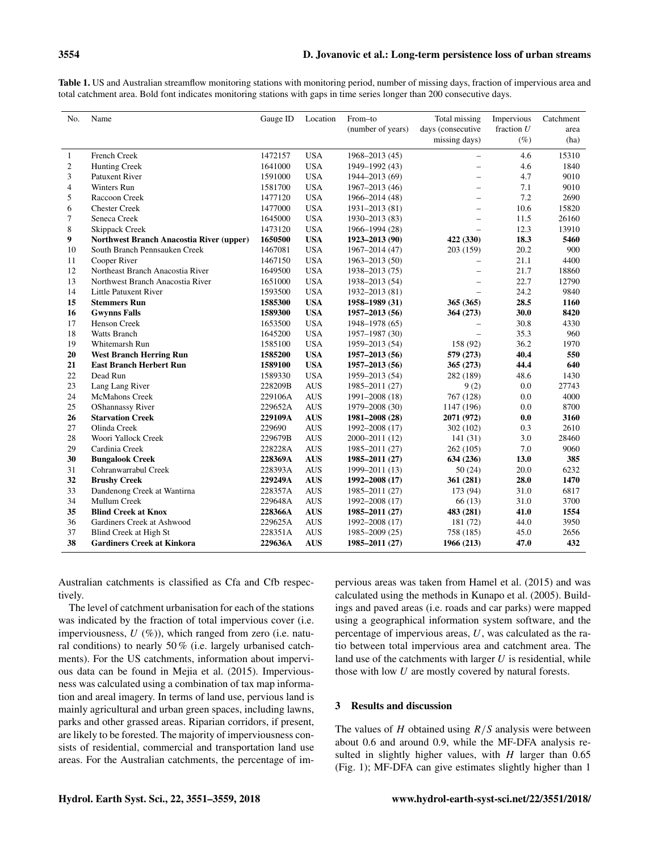| No.            | Name                                            | Gauge ID | Location   | From-to           | Total missing            | Impervious   | Catchment |
|----------------|-------------------------------------------------|----------|------------|-------------------|--------------------------|--------------|-----------|
|                |                                                 |          |            | (number of years) | days (consecutive        | fraction $U$ | area      |
|                |                                                 |          |            |                   | missing days)            | $(\%)$       | (ha)      |
| $\mathbf{1}$   | <b>French Creek</b>                             | 1472157  | <b>USA</b> | $1968 - 2013(45)$ | $\overline{\phantom{0}}$ | 4.6          | 15310     |
| $\mathfrak{2}$ | <b>Hunting Creek</b>                            | 1641000  | <b>USA</b> | 1949-1992 (43)    | $\overline{\phantom{0}}$ | 4.6          | 1840      |
| 3              | Patuxent River                                  | 1591000  | <b>USA</b> | 1944–2013 (69)    | $\overline{\phantom{0}}$ | 4.7          | 9010      |
| 4              | Winters Run                                     | 1581700  | <b>USA</b> | 1967-2013 (46)    | $\overline{\phantom{0}}$ | 7.1          | 9010      |
| 5              | Raccoon Creek                                   | 1477120  | <b>USA</b> | 1966-2014 (48)    | $\overline{\phantom{0}}$ | 7.2          | 2690      |
| 6              | <b>Chester Creek</b>                            | 1477000  | <b>USA</b> | 1931-2013 (81)    |                          | 10.6         | 15820     |
| $\tau$         | Seneca Creek                                    | 1645000  | <b>USA</b> | 1930-2013 (83)    | $\overline{\phantom{0}}$ | 11.5         | 26160     |
| 8              | <b>Skippack Creek</b>                           | 1473120  | <b>USA</b> | 1966-1994 (28)    | $\overline{\phantom{0}}$ | 12.3         | 13910     |
| 9              | <b>Northwest Branch Anacostia River (upper)</b> | 1650500  | <b>USA</b> | 1923–2013 (90)    | 422 (330)                | 18.3         | 5460      |
| 10             | South Branch Pennsauken Creek                   | 1467081  | <b>USA</b> | $1967 - 2014(47)$ | 203 (159)                | 20.2         | 900       |
| 11             | Cooper River                                    | 1467150  | <b>USA</b> | $1963 - 2013(50)$ |                          | 21.1         | 4400      |
| 12             | Northeast Branch Anacostia River                | 1649500  | <b>USA</b> | 1938-2013 (75)    | L.                       | 21.7         | 18860     |
| 13             | Northwest Branch Anacostia River                | 1651000  | <b>USA</b> | 1938-2013 (54)    | $\equiv$                 | 22.7         | 12790     |
| 14             | Little Patuxent River                           | 1593500  | <b>USA</b> | 1932-2013 (81)    |                          | 24.2         | 9840      |
| 15             | <b>Stemmers Run</b>                             | 1585300  | <b>USA</b> | 1958-1989 (31)    | 365 (365)                | 28.5         | 1160      |
| 16             | <b>Gwynns Falls</b>                             | 1589300  | <b>USA</b> | $1957 - 2013(56)$ | 364 (273)                | 30.0         | 8420      |
| 17             | Henson Creek                                    | 1653500  | <b>USA</b> | 1948-1978 (65)    |                          | 30.8         | 4330      |
| 18             | <b>Watts Branch</b>                             | 1645200  | <b>USA</b> | 1957-1987 (30)    |                          | 35.3         | 960       |
| 19             | Whitemarsh Run                                  | 1585100  | <b>USA</b> | 1959–2013 (54)    | 158 (92)                 | 36.2         | 1970      |
| 20             | <b>West Branch Herring Run</b>                  | 1585200  | <b>USA</b> | $1957 - 2013(56)$ | 579 (273)                | 40.4         | 550       |
| 21             | <b>East Branch Herbert Run</b>                  | 1589100  | <b>USA</b> | $1957 - 2013(56)$ | 365(273)                 | 44.4         | 640       |
| 22             | Dead Run                                        | 1589330  | <b>USA</b> | 1959–2013 (54)    | 282 (189)                | 48.6         | 1430      |
| 23             | Lang Lang River                                 | 228209B  | <b>AUS</b> | 1985-2011 (27)    | 9(2)                     | 0.0          | 27743     |
| 24             | McMahons Creek                                  | 229106A  | <b>AUS</b> | 1991-2008 (18)    | 767 (128)                | 0.0          | 4000      |
| 25             | <b>OShannassy River</b>                         | 229652A  | <b>AUS</b> | 1979-2008 (30)    | 1147 (196)               | 0.0          | 8700      |
| 26             | <b>Starvation Creek</b>                         | 229109A  | <b>AUS</b> | 1981-2008 (28)    | 2071 (972)               | 0.0          | 3160      |
| 27             | Olinda Creek                                    | 229690   | <b>AUS</b> | 1992-2008 (17)    | 302 (102)                | 0.3          | 2610      |
| 28             | Woori Yallock Creek                             | 229679B  | <b>AUS</b> | 2000-2011 (12)    | 141(31)                  | 3.0          | 28460     |
| 29             | Cardinia Creek                                  | 228228A  | <b>AUS</b> | 1985-2011 (27)    | 262 (105)                | 7.0          | 9060      |
| 30             | <b>Bungalook Creek</b>                          | 228369A  | <b>AUS</b> | 1985-2011 (27)    | 634 (236)                | 13.0         | 385       |
| 31             | Cohranwarrabul Creek                            | 228393A  | <b>AUS</b> | 1999-2011 (13)    | 50(24)                   | 20.0         | 6232      |
| 32             | <b>Brushy Creek</b>                             | 229249A  | <b>AUS</b> | 1992-2008 (17)    | 361 (281)                | 28.0         | 1470      |
| 33             | Dandenong Creek at Wantirna                     | 228357A  | <b>AUS</b> | 1985-2011 (27)    | 173 (94)                 | 31.0         | 6817      |
| 34             | Mullum Creek                                    | 229648A  | <b>AUS</b> | 1992-2008 (17)    | 66(13)                   | 31.0         | 3700      |
| 35             | <b>Blind Creek at Knox</b>                      | 228366A  | <b>AUS</b> | 1985-2011 (27)    | 483 (281)                | 41.0         | 1554      |
| 36             | Gardiners Creek at Ashwood                      | 229625A  | <b>AUS</b> | 1992-2008 (17)    | 181 (72)                 | 44.0         | 3950      |
| 37             | Blind Creek at High St                          | 228351A  | <b>AUS</b> | 1985-2009 (25)    | 758 (185)                | 45.0         | 2656      |
| 38             | <b>Gardiners Creek at Kinkora</b>               | 229636A  | <b>AUS</b> | 1985-2011 (27)    | 1966 (213)               | 47.0         | 432       |

Table 1. US and Australian streamflow monitoring stations with monitoring period, number of missing days, fraction of impervious area and total catchment area. Bold font indicates monitoring stations with gaps in time series longer than 200 consecutive days.

Australian catchments is classified as Cfa and Cfb respectively.

The level of catchment urbanisation for each of the stations was indicated by the fraction of total impervious cover (i.e. imperviousness,  $U$  (%)), which ranged from zero (i.e. natural conditions) to nearly 50 % (i.e. largely urbanised catchments). For the US catchments, information about impervious data can be found in Mejia et al. (2015). Imperviousness was calculated using a combination of tax map information and areal imagery. In terms of land use, pervious land is mainly agricultural and urban green spaces, including lawns, parks and other grassed areas. Riparian corridors, if present, are likely to be forested. The majority of imperviousness consists of residential, commercial and transportation land use areas. For the Australian catchments, the percentage of impervious areas was taken from Hamel et al. (2015) and was calculated using the methods in Kunapo et al. (2005). Buildings and paved areas (i.e. roads and car parks) were mapped using a geographical information system software, and the percentage of impervious areas, U, was calculated as the ratio between total impervious area and catchment area. The land use of the catchments with larger  $U$  is residential, while those with low U are mostly covered by natural forests.

### 3 Results and discussion

The values of  $H$  obtained using  $R/S$  analysis were between about 0.6 and around 0.9, while the MF-DFA analysis resulted in slightly higher values, with  $H$  larger than 0.65 (Fig. 1); MF-DFA can give estimates slightly higher than 1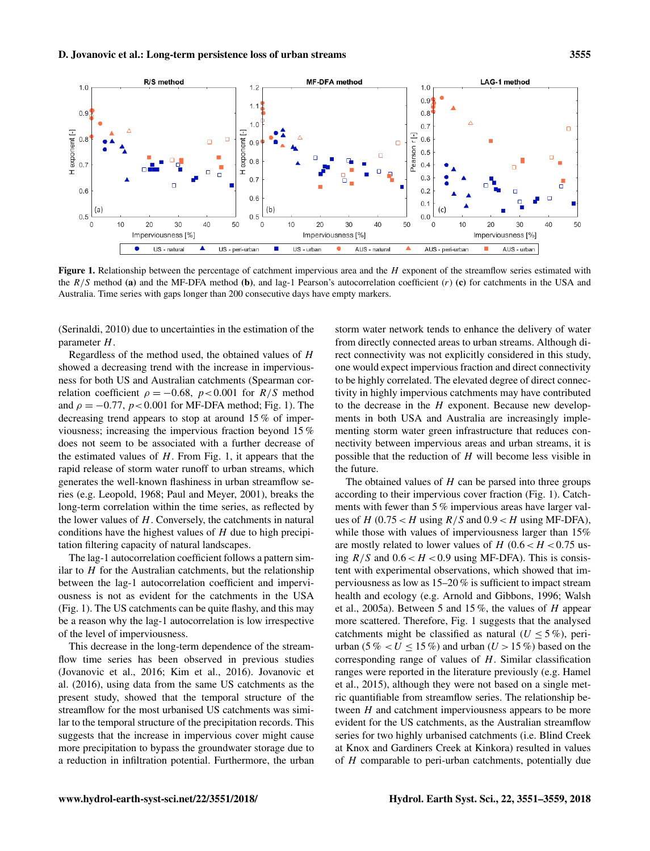

Figure 1. Relationship between the percentage of catchment impervious area and the H exponent of the streamflow series estimated with the  $R/S$  method (a) and the MF-DFA method (b), and lag-1 Pearson's autocorrelation coefficient (r) (c) for catchments in the USA and Australia. Time series with gaps longer than 200 consecutive days have empty markers.

(Serinaldi, 2010) due to uncertainties in the estimation of the parameter H.

Regardless of the method used, the obtained values of H showed a decreasing trend with the increase in imperviousness for both US and Australian catchments (Spearman correlation coefficient  $\rho = -0.68$ ,  $p < 0.001$  for  $R/S$  method and  $\rho = -0.77$ ,  $p < 0.001$  for MF-DFA method; Fig. 1). The decreasing trend appears to stop at around 15 % of imperviousness; increasing the impervious fraction beyond 15 % does not seem to be associated with a further decrease of the estimated values of  $H$ . From Fig. 1, it appears that the rapid release of storm water runoff to urban streams, which generates the well-known flashiness in urban streamflow series (e.g. Leopold, 1968; Paul and Meyer, 2001), breaks the long-term correlation within the time series, as reflected by the lower values of  $H$ . Conversely, the catchments in natural conditions have the highest values of  $H$  due to high precipitation filtering capacity of natural landscapes.

The lag-1 autocorrelation coefficient follows a pattern similar to  $H$  for the Australian catchments, but the relationship between the lag-1 autocorrelation coefficient and imperviousness is not as evident for the catchments in the USA (Fig. 1). The US catchments can be quite flashy, and this may be a reason why the lag-1 autocorrelation is low irrespective of the level of imperviousness.

This decrease in the long-term dependence of the streamflow time series has been observed in previous studies (Jovanovic et al., 2016; Kim et al., 2016). Jovanovic et al. (2016), using data from the same US catchments as the present study, showed that the temporal structure of the streamflow for the most urbanised US catchments was similar to the temporal structure of the precipitation records. This suggests that the increase in impervious cover might cause more precipitation to bypass the groundwater storage due to a reduction in infiltration potential. Furthermore, the urban

storm water network tends to enhance the delivery of water from directly connected areas to urban streams. Although direct connectivity was not explicitly considered in this study, one would expect impervious fraction and direct connectivity to be highly correlated. The elevated degree of direct connectivity in highly impervious catchments may have contributed to the decrease in the  $H$  exponent. Because new developments in both USA and Australia are increasingly implementing storm water green infrastructure that reduces connectivity between impervious areas and urban streams, it is possible that the reduction of  $H$  will become less visible in the future.

The obtained values of  $H$  can be parsed into three groups according to their impervious cover fraction (Fig. 1). Catchments with fewer than 5 % impervious areas have larger values of H (0.75  $<$  H using R/S and 0.9  $<$  H using MF-DFA), while those with values of imperviousness larger than 15% are mostly related to lower values of H  $(0.6 < H < 0.75$  using  $R/S$  and  $0.6 < H < 0.9$  using MF-DFA). This is consistent with experimental observations, which showed that imperviousness as low as 15–20 % is sufficient to impact stream health and ecology (e.g. Arnold and Gibbons, 1996; Walsh et al., 2005a). Between 5 and 15%, the values of  $H$  appear more scattered. Therefore, Fig. 1 suggests that the analysed catchments might be classified as natural ( $U \le 5\%$ ), periurban (5 %  $\lt U \le 15\%$ ) and urban (U > 15 %) based on the corresponding range of values of  $H$ . Similar classification ranges were reported in the literature previously (e.g. Hamel et al., 2015), although they were not based on a single metric quantifiable from streamflow series. The relationship between  $H$  and catchment imperviousness appears to be more evident for the US catchments, as the Australian streamflow series for two highly urbanised catchments (i.e. Blind Creek at Knox and Gardiners Creek at Kinkora) resulted in values of H comparable to peri-urban catchments, potentially due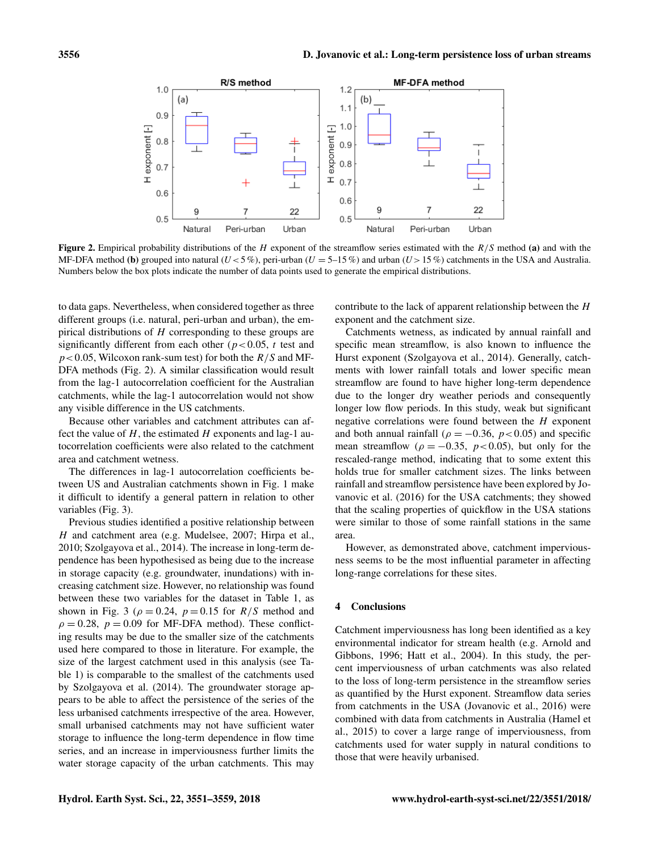

Figure 2. Empirical probability distributions of the H exponent of the streamflow series estimated with the  $R/S$  method (a) and with the MF-DFA method (b) grouped into natural ( $U < 5\%$ ), peri-urban ( $U = 5-15\%$ ) and urban ( $U > 15\%$ ) catchments in the USA and Australia. Numbers below the box plots indicate the number of data points used to generate the empirical distributions.

to data gaps. Nevertheless, when considered together as three different groups (i.e. natural, peri-urban and urban), the empirical distributions of  $H$  corresponding to these groups are significantly different from each other ( $p < 0.05$ , t test and  $p < 0.05$ , Wilcoxon rank-sum test) for both the  $R/S$  and MF-DFA methods (Fig. 2). A similar classification would result from the lag-1 autocorrelation coefficient for the Australian catchments, while the lag-1 autocorrelation would not show any visible difference in the US catchments.

Because other variables and catchment attributes can affect the value of  $H$ , the estimated  $H$  exponents and lag-1 autocorrelation coefficients were also related to the catchment area and catchment wetness.

The differences in lag-1 autocorrelation coefficients between US and Australian catchments shown in Fig. 1 make it difficult to identify a general pattern in relation to other variables (Fig. 3).

Previous studies identified a positive relationship between H and catchment area (e.g. Mudelsee, 2007; Hirpa et al., 2010; Szolgayova et al., 2014). The increase in long-term dependence has been hypothesised as being due to the increase in storage capacity (e.g. groundwater, inundations) with increasing catchment size. However, no relationship was found between these two variables for the dataset in Table 1, as shown in Fig. 3 ( $\rho = 0.24$ ,  $p = 0.15$  for  $R/S$  method and  $\rho = 0.28$ ,  $p = 0.09$  for MF-DFA method). These conflicting results may be due to the smaller size of the catchments used here compared to those in literature. For example, the size of the largest catchment used in this analysis (see Table 1) is comparable to the smallest of the catchments used by Szolgayova et al. (2014). The groundwater storage appears to be able to affect the persistence of the series of the less urbanised catchments irrespective of the area. However, small urbanised catchments may not have sufficient water storage to influence the long-term dependence in flow time series, and an increase in imperviousness further limits the water storage capacity of the urban catchments. This may contribute to the lack of apparent relationship between the H exponent and the catchment size.

Catchments wetness, as indicated by annual rainfall and specific mean streamflow, is also known to influence the Hurst exponent (Szolgayova et al., 2014). Generally, catchments with lower rainfall totals and lower specific mean streamflow are found to have higher long-term dependence due to the longer dry weather periods and consequently longer low flow periods. In this study, weak but significant negative correlations were found between the  $H$  exponent and both annual rainfall ( $\rho = -0.36$ ,  $p < 0.05$ ) and specific mean streamflow ( $\rho = -0.35$ ,  $p < 0.05$ ), but only for the rescaled-range method, indicating that to some extent this holds true for smaller catchment sizes. The links between rainfall and streamflow persistence have been explored by Jovanovic et al. (2016) for the USA catchments; they showed that the scaling properties of quickflow in the USA stations were similar to those of some rainfall stations in the same area.

However, as demonstrated above, catchment imperviousness seems to be the most influential parameter in affecting long-range correlations for these sites.

# 4 Conclusions

Catchment imperviousness has long been identified as a key environmental indicator for stream health (e.g. Arnold and Gibbons, 1996; Hatt et al., 2004). In this study, the percent imperviousness of urban catchments was also related to the loss of long-term persistence in the streamflow series as quantified by the Hurst exponent. Streamflow data series from catchments in the USA (Jovanovic et al., 2016) were combined with data from catchments in Australia (Hamel et al., 2015) to cover a large range of imperviousness, from catchments used for water supply in natural conditions to those that were heavily urbanised.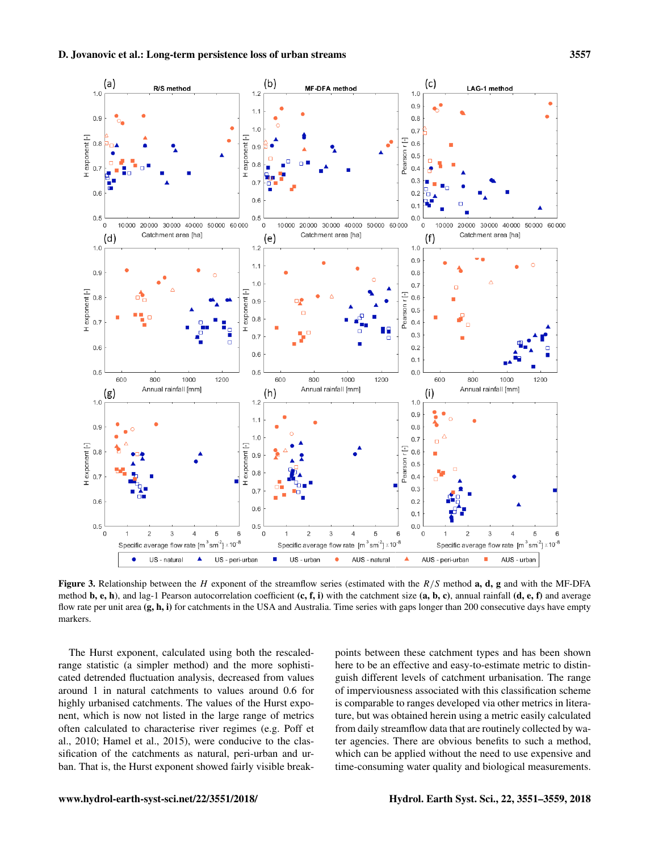

**Figure 3.** Relationship between the H exponent of the streamflow series (estimated with the  $R/S$  method **a, d, g** and with the MF-DFA method  $\mathbf{b}, \mathbf{e}, \mathbf{h}$ ), and lag-1 Pearson autocorrelation coefficient  $(\mathbf{c}, \mathbf{f}, \mathbf{i})$  with the catchment size  $(\mathbf{a}, \mathbf{b}, \mathbf{c})$ , annual rainfall  $(\mathbf{d}, \mathbf{e}, \mathbf{f})$  and average flow rate per unit area (g, h, i) for catchments in the USA and Australia. Time series with gaps longer than 200 consecutive days have empty markers.

The Hurst exponent, calculated using both the rescaledrange statistic (a simpler method) and the more sophisticated detrended fluctuation analysis, decreased from values around 1 in natural catchments to values around 0.6 for highly urbanised catchments. The values of the Hurst exponent, which is now not listed in the large range of metrics often calculated to characterise river regimes (e.g. Poff et al., 2010; Hamel et al., 2015), were conducive to the classification of the catchments as natural, peri-urban and urban. That is, the Hurst exponent showed fairly visible breakpoints between these catchment types and has been shown here to be an effective and easy-to-estimate metric to distinguish different levels of catchment urbanisation. The range of imperviousness associated with this classification scheme is comparable to ranges developed via other metrics in literature, but was obtained herein using a metric easily calculated from daily streamflow data that are routinely collected by water agencies. There are obvious benefits to such a method, which can be applied without the need to use expensive and time-consuming water quality and biological measurements.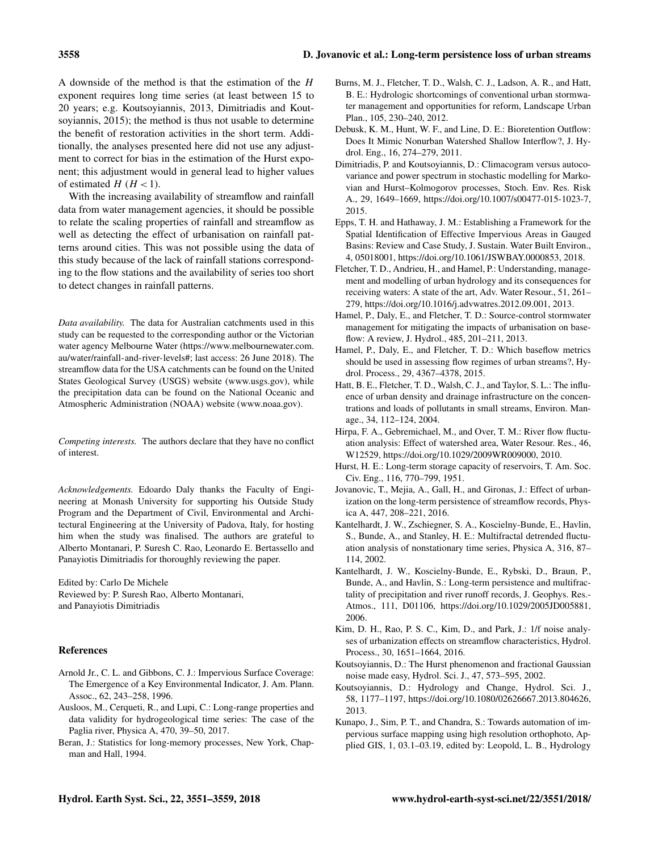#### 3558 D. Jovanovic et al.: Long-term persistence loss of urban streams

A downside of the method is that the estimation of the H exponent requires long time series (at least between 15 to 20 years; e.g. Koutsoyiannis, 2013, Dimitriadis and Koutsoyiannis, 2015); the method is thus not usable to determine the benefit of restoration activities in the short term. Additionally, the analyses presented here did not use any adjustment to correct for bias in the estimation of the Hurst exponent; this adjustment would in general lead to higher values of estimated  $H$  ( $H < 1$ ).

With the increasing availability of streamflow and rainfall data from water management agencies, it should be possible to relate the scaling properties of rainfall and streamflow as well as detecting the effect of urbanisation on rainfall patterns around cities. This was not possible using the data of this study because of the lack of rainfall stations corresponding to the flow stations and the availability of series too short to detect changes in rainfall patterns.

*Data availability.* The data for Australian catchments used in this study can be requested to the corresponding author or the Victorian water agency Melbourne Water [\(https://www.melbournewater.com.](https://www.melbournewater.com.au/water/rainfall-and-river-levels#) [au/water/rainfall-and-river-levels#;](https://www.melbournewater.com.au/water/rainfall-and-river-levels#) last access: 26 June 2018). The streamflow data for the USA catchments can be found on the United States Geological Survey (USGS) website [\(www.usgs.gov\)](www.usgs.gov), while the precipitation data can be found on the National Oceanic and Atmospheric Administration (NOAA) website [\(www.noaa.gov\)](www.noaa.gov).

*Competing interests.* The authors declare that they have no conflict of interest.

*Acknowledgements.* Edoardo Daly thanks the Faculty of Engineering at Monash University for supporting his Outside Study Program and the Department of Civil, Environmental and Architectural Engineering at the University of Padova, Italy, for hosting him when the study was finalised. The authors are grateful to Alberto Montanari, P. Suresh C. Rao, Leonardo E. Bertassello and Panayiotis Dimitriadis for thoroughly reviewing the paper.

Edited by: Carlo De Michele Reviewed by: P. Suresh Rao, Alberto Montanari, and Panayiotis Dimitriadis

#### References

- Arnold Jr., C. L. and Gibbons, C. J.: Impervious Surface Coverage: The Emergence of a Key Environmental Indicator, J. Am. Plann. Assoc., 62, 243–258, 1996.
- Ausloos, M., Cerqueti, R., and Lupi, C.: Long-range properties and data validity for hydrogeological time series: The case of the Paglia river, Physica A, 470, 39–50, 2017.
- Beran, J.: Statistics for long-memory processes, New York, Chapman and Hall, 1994.
- Burns, M. J., Fletcher, T. D., Walsh, C. J., Ladson, A. R., and Hatt, B. E.: Hydrologic shortcomings of conventional urban stormwater management and opportunities for reform, Landscape Urban Plan., 105, 230–240, 2012.
- Debusk, K. M., Hunt, W. F., and Line, D. E.: Bioretention Outflow: Does It Mimic Nonurban Watershed Shallow Interflow?, J. Hydrol. Eng., 16, 274–279, 2011.
- Dimitriadis, P. and Koutsoyiannis, D.: Climacogram versus autocovariance and power spectrum in stochastic modelling for Markovian and Hurst–Kolmogorov processes, Stoch. Env. Res. Risk A., 29, 1649–1669, https://doi.org[/10.1007/s00477-015-1023-7,](https://doi.org/10.1007/s00477-015-1023-7) 2015.
- Epps, T. H. and Hathaway, J. M.: Establishing a Framework for the Spatial Identification of Effective Impervious Areas in Gauged Basins: Review and Case Study, J. Sustain. Water Built Environ., 4, 05018001, https://doi.org[/10.1061/JSWBAY.0000853,](https://doi.org/10.1061/JSWBAY.0000853) 2018.
- Fletcher, T. D., Andrieu, H., and Hamel, P.: Understanding, management and modelling of urban hydrology and its consequences for receiving waters: A state of the art, Adv. Water Resour., 51, 261– 279, https://doi.org[/10.1016/j.advwatres.2012.09.001,](https://doi.org/10.1016/j.advwatres.2012.09.001) 2013.
- Hamel, P., Daly, E., and Fletcher, T. D.: Source-control stormwater management for mitigating the impacts of urbanisation on baseflow: A review, J. Hydrol., 485, 201–211, 2013.
- Hamel, P., Daly, E., and Fletcher, T. D.: Which baseflow metrics should be used in assessing flow regimes of urban streams?, Hydrol. Process., 29, 4367–4378, 2015.
- Hatt, B. E., Fletcher, T. D., Walsh, C. J., and Taylor, S. L.: The influence of urban density and drainage infrastructure on the concentrations and loads of pollutants in small streams, Environ. Manage., 34, 112–124, 2004.
- Hirpa, F. A., Gebremichael, M., and Over, T. M.: River flow fluctuation analysis: Effect of watershed area, Water Resour. Res., 46, W12529, https://doi.org[/10.1029/2009WR009000,](https://doi.org/10.1029/2009WR009000) 2010.
- Hurst, H. E.: Long-term storage capacity of reservoirs, T. Am. Soc. Civ. Eng., 116, 770–799, 1951.
- Jovanovic, T., Mejia, A., Gall, H., and Gironas, J.: Effect of urbanization on the long-term persistence of streamflow records, Physica A, 447, 208–221, 2016.
- Kantelhardt, J. W., Zschiegner, S. A., Koscielny-Bunde, E., Havlin, S., Bunde, A., and Stanley, H. E.: Multifractal detrended fluctuation analysis of nonstationary time series, Physica A, 316, 87– 114, 2002.
- Kantelhardt, J. W., Koscielny-Bunde, E., Rybski, D., Braun, P., Bunde, A., and Havlin, S.: Long-term persistence and multifractality of precipitation and river runoff records, J. Geophys. Res.- Atmos., 111, D01106, https://doi.org[/10.1029/2005JD005881,](https://doi.org/10.1029/2005JD005881) 2006.
- Kim, D. H., Rao, P. S. C., Kim, D., and Park, J.: 1/f noise analyses of urbanization effects on streamflow characteristics, Hydrol. Process., 30, 1651–1664, 2016.
- Koutsoyiannis, D.: The Hurst phenomenon and fractional Gaussian noise made easy, Hydrol. Sci. J., 47, 573–595, 2002.
- Koutsoyiannis, D.: Hydrology and Change, Hydrol. Sci. J., 58, 1177–1197, https://doi.org[/10.1080/02626667.2013.804626,](https://doi.org/10.1080/02626667.2013.804626) 2013.
- Kunapo, J., Sim, P. T., and Chandra, S.: Towards automation of impervious surface mapping using high resolution orthophoto, Applied GIS, 1, 03.1–03.19, edited by: Leopold, L. B., Hydrology